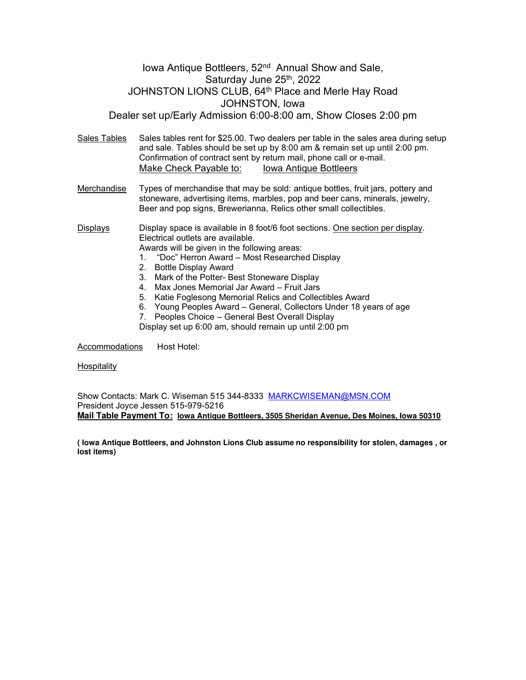## Iowa Antique Bottleers, 52<sup>nd</sup> Annual Show and Sale, Saturday June 25<sup>th</sup>, 2022 JOHNSTON LIONS CLUB, 64<sup>th</sup> Place and Merle Hay Road JOHNSTON, Iowa Dealer set up/Early Admission 6:00-8:00 am, Show Closes 2:00 pm

Sales Tables Sales tables rent for \$25.00. Two dealers per table in the sales area during setup and sale. Tables should be set up by 8:00 am & remain set up until 2:00 pm. Confirmation of contract sent by return mail, phone call or e-mail. Make Check Payable to: Iowa Antique Bottleers

Merchandise Types of merchandise that may be sold: antique bottles, fruit jars, pottery and stoneware, advertising items, marbles, pop and beer cans, minerals, jewelry, Beer and pop signs, Brewerianna, Relics other small collectibles.

Displays Display space is available in 8 foot/6 foot sections. One section per display. Electrical outlets are available.

- Awards will be given in the following areas:<br>1. "Doc" Herron Award Most Researche 1. "Doc" Herron Award – Most Researched Display
- 2. Bottle Display Award
- 3. Mark of the Potter- Best Stoneware Display
- 4. Max Jones Memorial Jar Award Fruit Jars
- 5. Katie Foglesong Memorial Relics and Collectibles Award
- 6. Young Peoples Award General, Collectors Under 18 years of age
- 7. Peoples Choice General Best Overall Display

Display set up 6:00 am, should remain up until 2:00 pm

Accommodations Host Hotel:

**Hospitality** 

Show Contacts: Mark C. Wiseman 515 344-8333 [MARKCWISEMAN@MSN.COM](mailto:MARKCWISEMAN@MSN.COM) President Joyce Jessen 515-979-5216 **Mail Table Payment To: Iowa Antique Bottleers, 3505 Sheridan Avenue, Des Moines, Iowa 50310**

**( Iowa Antique Bottleers, and Johnston Lions Club assume no responsibility for stolen, damages , or lost items)**